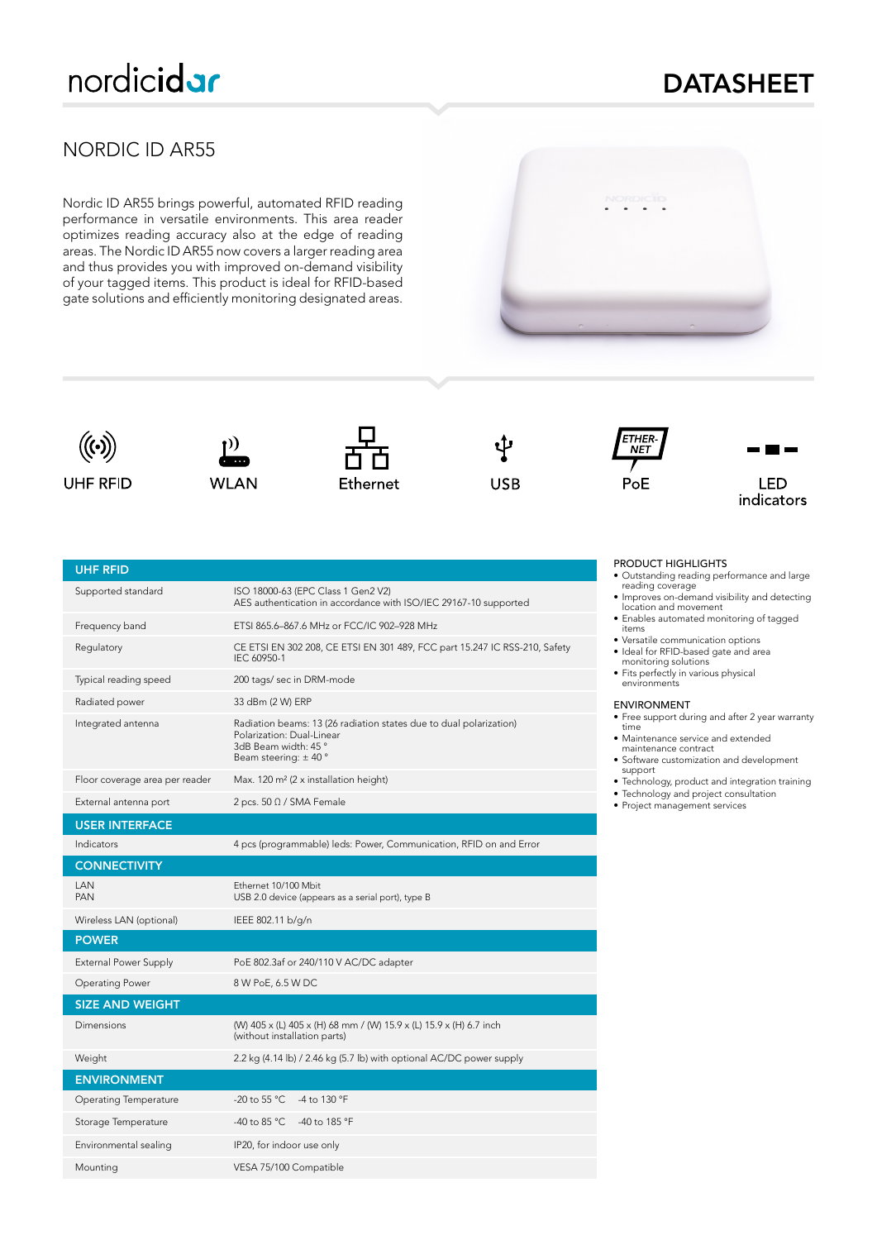# nordicidar

## **DATASHEET**

### NORDIC ID AR55

Nordic ID AR55 brings powerful, automated RFID reading performance in versatile environments. This area reader optimizes reading accuracy also at the edge of reading areas. The Nordic ID AR55 now covers a larger reading area and thus provides you with improved on-demand visibility of your tagged items. This product is ideal for RFID-based gate solutions and efficiently monitoring designated areas.















### PRODUCT HIGHLIGHTS

- Outstanding reading performance and large reading coverage
	- Improves on-demand visibility and detecting location and movement
	- Enables automated monitoring of tagged items • Versatile communication options
	- Ideal for RFID-based gate and area monitoring solutions
- Fits perfectly in various physical environments

#### ENVIRONMENT

- Free support during and after 2 year warranty time
- Maintenance service and extended maintenance contract
- Software customization and development support
- Technology, product and integration training
- Technology and project consultation
- Project management services

| <b>UHF RFID</b>                |                                                                                                                                                     |
|--------------------------------|-----------------------------------------------------------------------------------------------------------------------------------------------------|
| Supported standard             | ISO 18000-63 (EPC Class 1 Gen2 V2)<br>AES authentication in accordance with ISO/IEC 29167-10 supported                                              |
| Frequency band                 | ETSI 865.6-867.6 MHz or FCC/IC 902-928 MHz                                                                                                          |
| Regulatory                     | CE ETSI EN 302 208, CE ETSI EN 301 489, FCC part 15.247 IC RSS-210, Safety<br>IEC 60950-1                                                           |
| Typical reading speed          | 200 tags/ sec in DRM-mode                                                                                                                           |
| Radiated power                 | 33 dBm (2 W) ERP                                                                                                                                    |
| Integrated antenna             | Radiation beams: 13 (26 radiation states due to dual polarization)<br>Polarization: Dual-Linear<br>3dB Beam width: 45°<br>Beam steering: $\pm$ 40 ° |
| Floor coverage area per reader | Max. $120 \text{ m}^2$ (2 x installation height)                                                                                                    |
| External antenna port          | 2 pcs. 50 $\Omega$ / SMA Female                                                                                                                     |
| <b>USER INTERFACE</b>          |                                                                                                                                                     |
| Indicators                     | 4 pcs (programmable) leds: Power, Communication, RFID on and Error                                                                                  |
| <b>CONNECTIVITY</b>            |                                                                                                                                                     |
| LAN<br><b>PAN</b>              | Ethernet 10/100 Mbit<br>USB 2.0 device (appears as a serial port), type B                                                                           |
| Wireless LAN (optional)        | IEEE 802.11 b/g/n                                                                                                                                   |
| <b>POWER</b>                   |                                                                                                                                                     |
| <b>External Power Supply</b>   | PoE 802.3af or 240/110 V AC/DC adapter                                                                                                              |
| Operating Power                | 8 W PoE, 6.5 W DC                                                                                                                                   |
| <b>SIZE AND WEIGHT</b>         |                                                                                                                                                     |
| Dimensions                     | (W) 405 x (L) 405 x (H) 68 mm / (W) 15.9 x (L) 15.9 x (H) 6.7 inch<br>(without installation parts)                                                  |
| Weight                         | 2.2 kg (4.14 lb) / 2.46 kg (5.7 lb) with optional AC/DC power supply                                                                                |
| <b>ENVIRONMENT</b>             |                                                                                                                                                     |
| Operating Temperature          | $-20$ to 55 °C.<br>$-4$ to 130 °F                                                                                                                   |
| Storage Temperature            | $-40$ to 85 °C.<br>$-40$ to 185 °F                                                                                                                  |
| Environmental sealing          | IP20, for indoor use only                                                                                                                           |
| Mounting                       | VESA 75/100 Compatible                                                                                                                              |
|                                |                                                                                                                                                     |